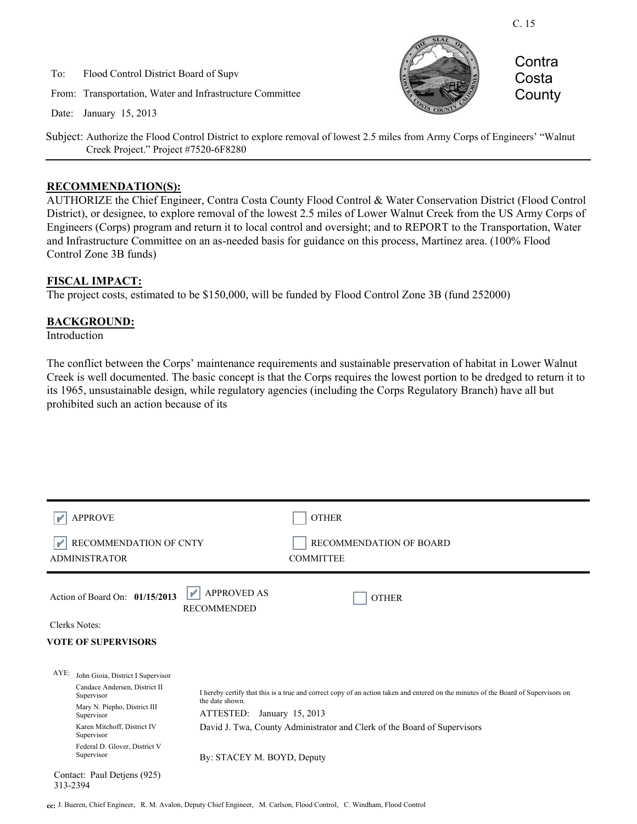To: Flood Control District Board of Supv

From: Transportation, Water and Infrastructure Committee

Date: January 15, 2013



**Contra** Costa **County** 

Subject: Authorize the Flood Control District to explore removal of lowest 2.5 miles from Army Corps of Engineers' "Walnut Creek Project." Project #7520-6F8280

#### **RECOMMENDATION(S):**

AUTHORIZE the Chief Engineer, Contra Costa County Flood Control & Water Conservation District (Flood Control District), or designee, to explore removal of the lowest 2.5 miles of Lower Walnut Creek from the US Army Corps of Engineers (Corps) program and return it to local control and oversight; and to REPORT to the Transportation, Water and Infrastructure Committee on an as-needed basis for guidance on this process, Martinez area. (100% Flood Control Zone 3B funds)

#### **FISCAL IMPACT:**

The project costs, estimated to be \$150,000, will be funded by Flood Control Zone 3B (fund 252000)

#### **BACKGROUND:**

Introduction

The conflict between the Corps' maintenance requirements and sustainable preservation of habitat in Lower Walnut Creek is well documented. The basic concept is that the Corps requires the lowest portion to be dredged to return it to its 1965, unsustainable design, while regulatory agencies (including the Corps Regulatory Branch) have all but prohibited such an action because of its

| <b>APPROVE</b>                                 | <b>OTHER</b>                                                                                                                                          |
|------------------------------------------------|-------------------------------------------------------------------------------------------------------------------------------------------------------|
| RECOMMENDATION OF CNTY<br><b>ADMINISTRATOR</b> | RECOMMENDATION OF BOARD<br><b>COMMITTEE</b>                                                                                                           |
| V<br>Action of Board On: 01/15/2013            | <b>APPROVED AS</b><br><b>OTHER</b><br><b>RECOMMENDED</b>                                                                                              |
| Clerks Notes:                                  |                                                                                                                                                       |
| <b>VOTE OF SUPERVISORS</b>                     |                                                                                                                                                       |
|                                                |                                                                                                                                                       |
| $AYE$ :<br>John Gioia, District I Supervisor   |                                                                                                                                                       |
| Candace Andersen, District II<br>Supervisor    | I hereby certify that this is a true and correct copy of an action taken and entered on the minutes of the Board of Supervisors on<br>the date shown. |
| Mary N. Piepho, District III<br>Supervisor     | ATTESTED:<br>January 15, 2013                                                                                                                         |
| Karen Mitchoff, District IV<br>Supervisor      | David J. Twa, County Administrator and Clerk of the Board of Supervisors                                                                              |
| Federal D. Glover, District V<br>Supervisor    | By: STACEY M. BOYD, Deputy                                                                                                                            |
| Contact: Paul Detjens (925)<br>313-2394        |                                                                                                                                                       |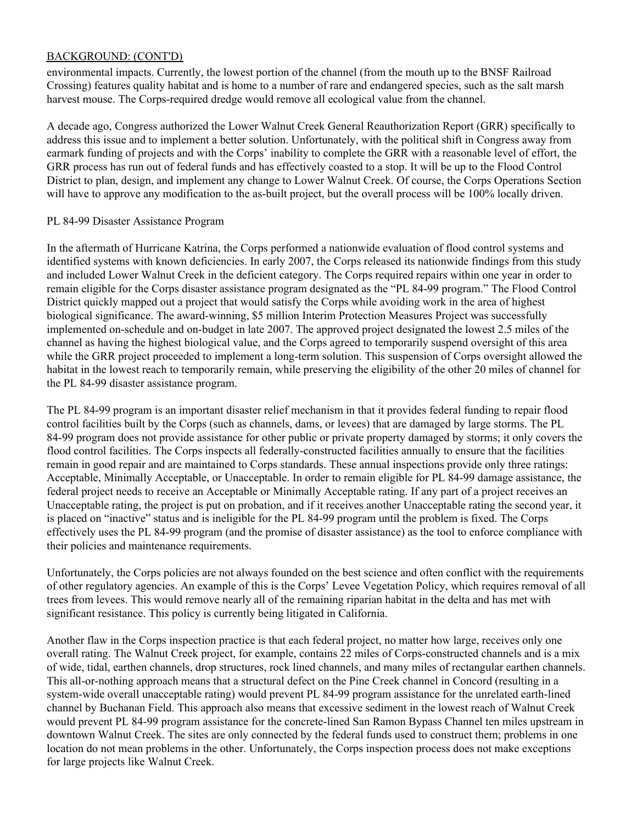#### BACKGROUND: (CONT'D)

environmental impacts. Currently, the lowest portion of the channel (from the mouth up to the BNSF Railroad Crossing) features quality habitat and is home to a number of rare and endangered species, such as the salt marsh harvest mouse. The Corps-required dredge would remove all ecological value from the channel.

A decade ago, Congress authorized the Lower Walnut Creek General Reauthorization Report (GRR) specifically to address this issue and to implement a better solution. Unfortunately, with the political shift in Congress away from earmark funding of projects and with the Corps' inability to complete the GRR with a reasonable level of effort, the GRR process has run out of federal funds and has effectively coasted to a stop. It will be up to the Flood Control District to plan, design, and implement any change to Lower Walnut Creek. Of course, the Corps Operations Section will have to approve any modification to the as-built project, but the overall process will be 100% locally driven.

#### PL 84-99 Disaster Assistance Program

In the aftermath of Hurricane Katrina, the Corps performed a nationwide evaluation of flood control systems and identified systems with known deficiencies. In early 2007, the Corps released its nationwide findings from this study and included Lower Walnut Creek in the deficient category. The Corps required repairs within one year in order to remain eligible for the Corps disaster assistance program designated as the "PL 84-99 program." The Flood Control District quickly mapped out a project that would satisfy the Corps while avoiding work in the area of highest biological significance. The award-winning, \$5 million Interim Protection Measures Project was successfully implemented on-schedule and on-budget in late 2007. The approved project designated the lowest 2.5 miles of the channel as having the highest biological value, and the Corps agreed to temporarily suspend oversight of this area while the GRR project proceeded to implement a long-term solution. This suspension of Corps oversight allowed the habitat in the lowest reach to temporarily remain, while preserving the eligibility of the other 20 miles of channel for the PL 84-99 disaster assistance program.

The PL 84-99 program is an important disaster relief mechanism in that it provides federal funding to repair flood control facilities built by the Corps (such as channels, dams, or levees) that are damaged by large storms. The PL 84-99 program does not provide assistance for other public or private property damaged by storms; it only covers the flood control facilities. The Corps inspects all federally-constructed facilities annually to ensure that the facilities remain in good repair and are maintained to Corps standards. These annual inspections provide only three ratings: Acceptable, Minimally Acceptable, or Unacceptable. In order to remain eligible for PL 84-99 damage assistance, the federal project needs to receive an Acceptable or Minimally Acceptable rating. If any part of a project receives an Unacceptable rating, the project is put on probation, and if it receives another Unacceptable rating the second year, it is placed on "inactive" status and is ineligible for the PL 84-99 program until the problem is fixed. The Corps effectively uses the PL 84-99 program (and the promise of disaster assistance) as the tool to enforce compliance with their policies and maintenance requirements.

Unfortunately, the Corps policies are not always founded on the best science and often conflict with the requirements of other regulatory agencies. An example of this is the Corps' Levee Vegetation Policy, which requires removal of all trees from levees. This would remove nearly all of the remaining riparian habitat in the delta and has met with significant resistance. This policy is currently being litigated in California.

Another flaw in the Corps inspection practice is that each federal project, no matter how large, receives only one overall rating. The Walnut Creek project, for example, contains 22 miles of Corps-constructed channels and is a mix of wide, tidal, earthen channels, drop structures, rock lined channels, and many miles of rectangular earthen channels. This all-or-nothing approach means that a structural defect on the Pine Creek channel in Concord (resulting in a system-wide overall unacceptable rating) would prevent PL 84-99 program assistance for the unrelated earth-lined channel by Buchanan Field. This approach also means that excessive sediment in the lowest reach of Walnut Creek would prevent PL 84-99 program assistance for the concrete-lined San Ramon Bypass Channel ten miles upstream in downtown Walnut Creek. The sites are only connected by the federal funds used to construct them; problems in one location do not mean problems in the other. Unfortunately, the Corps inspection process does not make exceptions for large projects like Walnut Creek.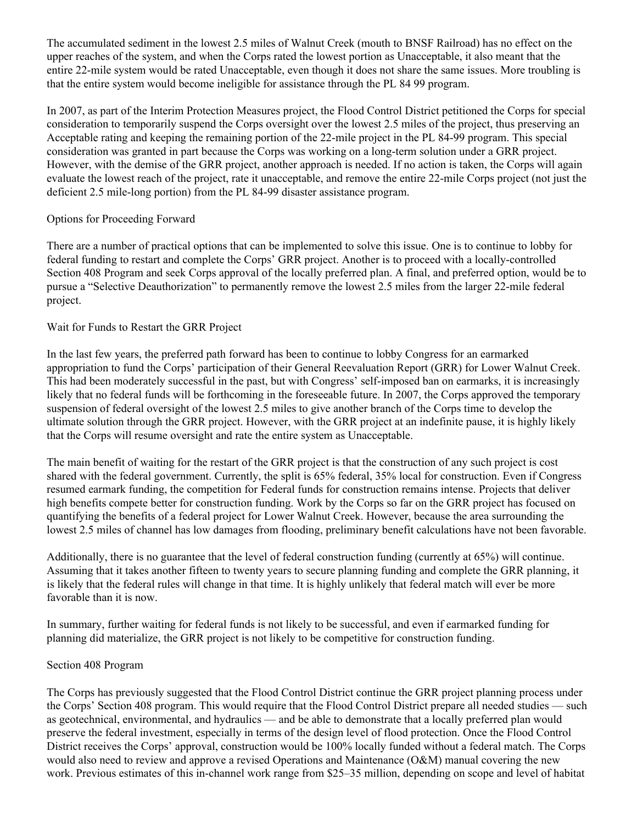The accumulated sediment in the lowest 2.5 miles of Walnut Creek (mouth to BNSF Railroad) has no effect on the upper reaches of the system, and when the Corps rated the lowest portion as Unacceptable, it also meant that the entire 22-mile system would be rated Unacceptable, even though it does not share the same issues. More troubling is that the entire system would become ineligible for assistance through the PL 84 99 program.

In 2007, as part of the Interim Protection Measures project, the Flood Control District petitioned the Corps for special consideration to temporarily suspend the Corps oversight over the lowest 2.5 miles of the project, thus preserving an Acceptable rating and keeping the remaining portion of the 22-mile project in the PL 84-99 program. This special consideration was granted in part because the Corps was working on a long-term solution under a GRR project. However, with the demise of the GRR project, another approach is needed. If no action is taken, the Corps will again evaluate the lowest reach of the project, rate it unacceptable, and remove the entire 22-mile Corps project (not just the deficient 2.5 mile-long portion) from the PL 84-99 disaster assistance program.

## Options for Proceeding Forward

There are a number of practical options that can be implemented to solve this issue. One is to continue to lobby for federal funding to restart and complete the Corps' GRR project. Another is to proceed with a locally-controlled Section 408 Program and seek Corps approval of the locally preferred plan. A final, and preferred option, would be to pursue a "Selective Deauthorization" to permanently remove the lowest 2.5 miles from the larger 22-mile federal project.

## Wait for Funds to Restart the GRR Project

In the last few years, the preferred path forward has been to continue to lobby Congress for an earmarked appropriation to fund the Corps' participation of their General Reevaluation Report (GRR) for Lower Walnut Creek. This had been moderately successful in the past, but with Congress' self-imposed ban on earmarks, it is increasingly likely that no federal funds will be forthcoming in the foreseeable future. In 2007, the Corps approved the temporary suspension of federal oversight of the lowest 2.5 miles to give another branch of the Corps time to develop the ultimate solution through the GRR project. However, with the GRR project at an indefinite pause, it is highly likely that the Corps will resume oversight and rate the entire system as Unacceptable.

The main benefit of waiting for the restart of the GRR project is that the construction of any such project is cost shared with the federal government. Currently, the split is 65% federal, 35% local for construction. Even if Congress resumed earmark funding, the competition for Federal funds for construction remains intense. Projects that deliver high benefits compete better for construction funding. Work by the Corps so far on the GRR project has focused on quantifying the benefits of a federal project for Lower Walnut Creek. However, because the area surrounding the lowest 2.5 miles of channel has low damages from flooding, preliminary benefit calculations have not been favorable.

Additionally, there is no guarantee that the level of federal construction funding (currently at 65%) will continue. Assuming that it takes another fifteen to twenty years to secure planning funding and complete the GRR planning, it is likely that the federal rules will change in that time. It is highly unlikely that federal match will ever be more favorable than it is now.

In summary, further waiting for federal funds is not likely to be successful, and even if earmarked funding for planning did materialize, the GRR project is not likely to be competitive for construction funding.

#### Section 408 Program

The Corps has previously suggested that the Flood Control District continue the GRR project planning process under the Corps' Section 408 program. This would require that the Flood Control District prepare all needed studies — such as geotechnical, environmental, and hydraulics — and be able to demonstrate that a locally preferred plan would preserve the federal investment, especially in terms of the design level of flood protection. Once the Flood Control District receives the Corps' approval, construction would be 100% locally funded without a federal match. The Corps would also need to review and approve a revised Operations and Maintenance (O&M) manual covering the new work. Previous estimates of this in-channel work range from \$25–35 million, depending on scope and level of habitat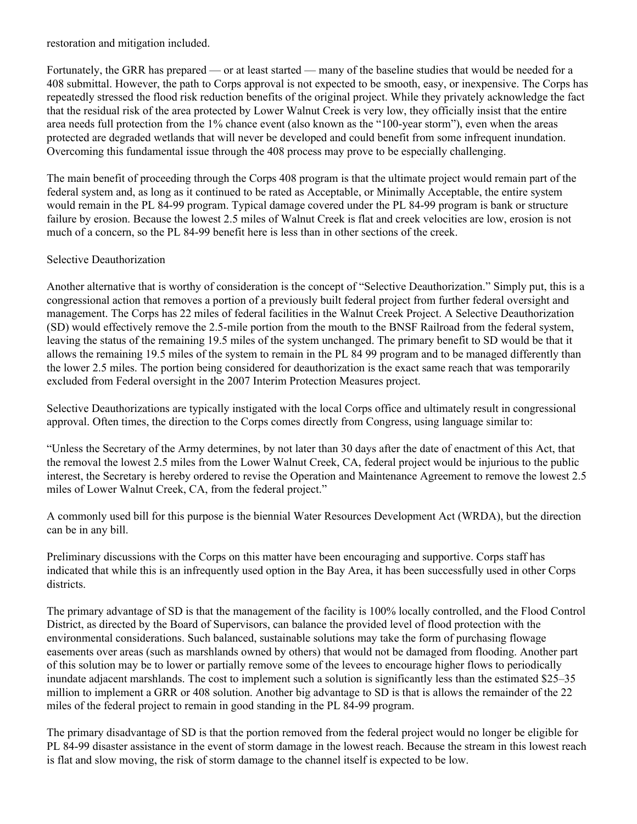restoration and mitigation included.

Fortunately, the GRR has prepared — or at least started — many of the baseline studies that would be needed for a 408 submittal. However, the path to Corps approval is not expected to be smooth, easy, or inexpensive. The Corps has repeatedly stressed the flood risk reduction benefits of the original project. While they privately acknowledge the fact that the residual risk of the area protected by Lower Walnut Creek is very low, they officially insist that the entire area needs full protection from the 1% chance event (also known as the "100-year storm"), even when the areas protected are degraded wetlands that will never be developed and could benefit from some infrequent inundation. Overcoming this fundamental issue through the 408 process may prove to be especially challenging.

The main benefit of proceeding through the Corps 408 program is that the ultimate project would remain part of the federal system and, as long as it continued to be rated as Acceptable, or Minimally Acceptable, the entire system would remain in the PL 84-99 program. Typical damage covered under the PL 84-99 program is bank or structure failure by erosion. Because the lowest 2.5 miles of Walnut Creek is flat and creek velocities are low, erosion is not much of a concern, so the PL 84-99 benefit here is less than in other sections of the creek.

## Selective Deauthorization

Another alternative that is worthy of consideration is the concept of "Selective Deauthorization." Simply put, this is a congressional action that removes a portion of a previously built federal project from further federal oversight and management. The Corps has 22 miles of federal facilities in the Walnut Creek Project. A Selective Deauthorization (SD) would effectively remove the 2.5-mile portion from the mouth to the BNSF Railroad from the federal system, leaving the status of the remaining 19.5 miles of the system unchanged. The primary benefit to SD would be that it allows the remaining 19.5 miles of the system to remain in the PL 84 99 program and to be managed differently than the lower 2.5 miles. The portion being considered for deauthorization is the exact same reach that was temporarily excluded from Federal oversight in the 2007 Interim Protection Measures project.

Selective Deauthorizations are typically instigated with the local Corps office and ultimately result in congressional approval. Often times, the direction to the Corps comes directly from Congress, using language similar to:

"Unless the Secretary of the Army determines, by not later than 30 days after the date of enactment of this Act, that the removal the lowest 2.5 miles from the Lower Walnut Creek, CA, federal project would be injurious to the public interest, the Secretary is hereby ordered to revise the Operation and Maintenance Agreement to remove the lowest 2.5 miles of Lower Walnut Creek, CA, from the federal project."

A commonly used bill for this purpose is the biennial Water Resources Development Act (WRDA), but the direction can be in any bill.

Preliminary discussions with the Corps on this matter have been encouraging and supportive. Corps staff has indicated that while this is an infrequently used option in the Bay Area, it has been successfully used in other Corps districts.

The primary advantage of SD is that the management of the facility is 100% locally controlled, and the Flood Control District, as directed by the Board of Supervisors, can balance the provided level of flood protection with the environmental considerations. Such balanced, sustainable solutions may take the form of purchasing flowage easements over areas (such as marshlands owned by others) that would not be damaged from flooding. Another part of this solution may be to lower or partially remove some of the levees to encourage higher flows to periodically inundate adjacent marshlands. The cost to implement such a solution is significantly less than the estimated \$25–35 million to implement a GRR or 408 solution. Another big advantage to SD is that is allows the remainder of the 22 miles of the federal project to remain in good standing in the PL 84-99 program.

The primary disadvantage of SD is that the portion removed from the federal project would no longer be eligible for PL 84-99 disaster assistance in the event of storm damage in the lowest reach. Because the stream in this lowest reach is flat and slow moving, the risk of storm damage to the channel itself is expected to be low.